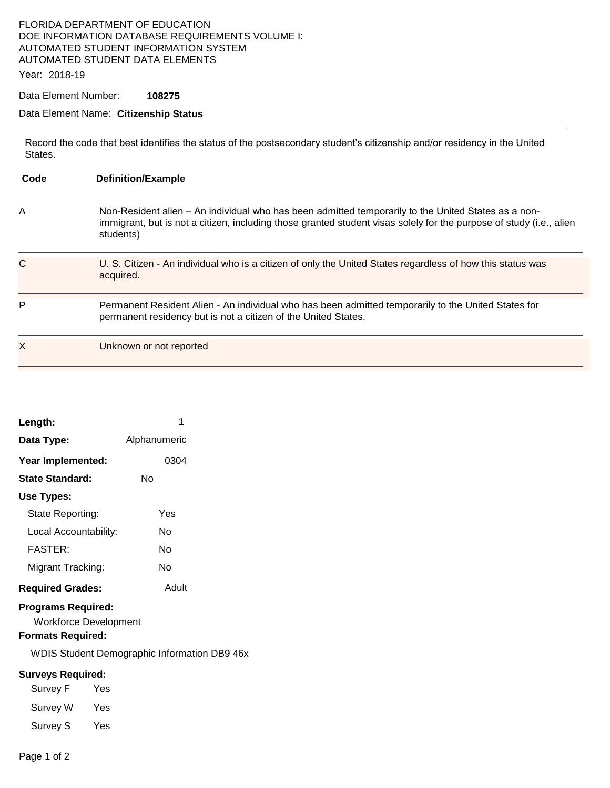## FLORIDA DEPARTMENT OF EDUCATION DOE INFORMATION DATABASE REQUIREMENTS VOLUME I: AUTOMATED STUDENT INFORMATION SYSTEM AUTOMATED STUDENT DATA ELEMENTS

Year: 2018-19

Data Element Number: **108275** 

## Data Element Name: **Citizenship Status**

Record the code that best identifies the status of the postsecondary student's citizenship and/or residency in the United States.

| Code | <b>Definition/Example</b>                                                                                                                                                                                                               |
|------|-----------------------------------------------------------------------------------------------------------------------------------------------------------------------------------------------------------------------------------------|
| A    | Non-Resident alien – An individual who has been admitted temporarily to the United States as a non-<br>immigrant, but is not a citizen, including those granted student visas solely for the purpose of study (i.e., alien<br>students) |
| C    | U. S. Citizen - An individual who is a citizen of only the United States regardless of how this status was<br>acquired.                                                                                                                 |
| P    | Permanent Resident Alien - An individual who has been admitted temporarily to the United States for<br>permanent residency but is not a citizen of the United States.                                                                   |
| Χ    | Unknown or not reported                                                                                                                                                                                                                 |

| Length:                                                                               |     | 1                                           |  |
|---------------------------------------------------------------------------------------|-----|---------------------------------------------|--|
| Data Type:                                                                            |     | Alphanumeric                                |  |
| Year Implemented:                                                                     |     | 0304                                        |  |
| <b>State Standard:</b>                                                                |     | No                                          |  |
| <b>Use Types:</b>                                                                     |     |                                             |  |
| State Reporting:                                                                      |     | Yes                                         |  |
| Local Accountability:                                                                 |     | No                                          |  |
| <b>FASTER:</b>                                                                        |     | N٥                                          |  |
| Migrant Tracking:                                                                     |     | No                                          |  |
| <b>Required Grades:</b>                                                               |     | Adult                                       |  |
| <b>Programs Required:</b><br><b>Workforce Development</b><br><b>Formats Required:</b> |     | <b>WDIS Student Demographic Information</b> |  |
| <b>Surveys Required:</b>                                                              |     |                                             |  |
| Survey F                                                                              | Yes |                                             |  |
| Survey W Yes                                                                          |     |                                             |  |
| Survey S                                                                              | Yes |                                             |  |

DB9 46x